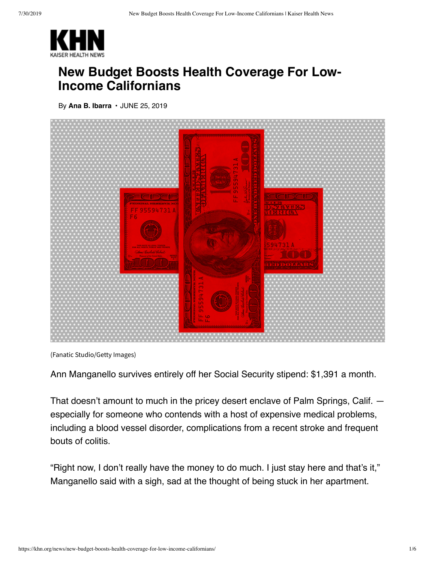

## **New Budget Boosts Health Coverage For Low-Income Californians**

By **[Ana B. Ibarra](https://khn.org/news/author/ana-b-ibarra/)** • JUNE 25, 2019



(Fanatic Studio/Getty Images)

Ann Manganello survives entirely off her Social Security stipend: \$1,391 a month.

That doesn't amount to much in the pricey desert enclave of Palm Springs, Calif. especially for someone who contends with a host of expensive medical problems, including a blood vessel disorder, complications from a recent stroke and frequent bouts of colitis.

"Right now, I don't really have the money to do much. I just stay here and that's it," Manganello said with a sigh, sad at the thought of being stuck in her apartment.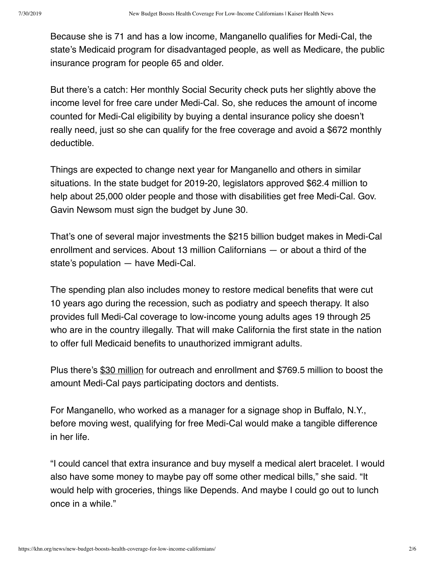Because she is 71 and has a low income, Manganello qualifies for Medi-Cal, the state's Medicaid program for disadvantaged people, as well as Medicare, the public insurance program for people 65 and older.

But there's a catch: Her monthly Social Security check puts her slightly above the income level for free care under Medi-Cal. So, she reduces the amount of income counted for Medi-Cal eligibility by buying a dental insurance policy she doesn't really need, just so she can qualify for the free coverage and avoid a \$672 monthly deductible.

Things are expected to change next year for Manganello and others in similar situations. In the state budget for 2019-20, legislators approved \$62.4 million to help about 25,000 older people and those with disabilities get free Medi-Cal. Gov. Gavin Newsom must sign the budget by June 30.

That's one of several major investments the \$215 billion budget makes in Medi-Cal enrollment and services. About 13 million Californians — or about a third of the state's population — have Medi-Cal.

The spending plan also includes money to restore medical benefits that were cut 10 years ago during the recession, such as podiatry and speech therapy. It also provides full Medi-Cal coverage to low-income young adults ages 19 through 25 who are in the country illegally. That will make California the first state in the nation to offer full Medicaid benefits to unauthorized immigrant adults.

Plus there's [\\$30 million](https://wclp.org/wp-content/uploads/2019/06/Budget-Bill-Analysis.FINAL_-1.pdf) for outreach and enrollment and \$769.5 million to boost the amount Medi-Cal pays participating doctors and dentists.

For Manganello, who worked as a manager for a signage shop in Buffalo, N.Y., before moving west, qualifying for free Medi-Cal would make a tangible difference in her life.

"I could cancel that extra insurance and buy myself a medical alert bracelet. I would also have some money to maybe pay off some other medical bills," she said. "It would help with groceries, things like Depends. And maybe I could go out to lunch once in a while."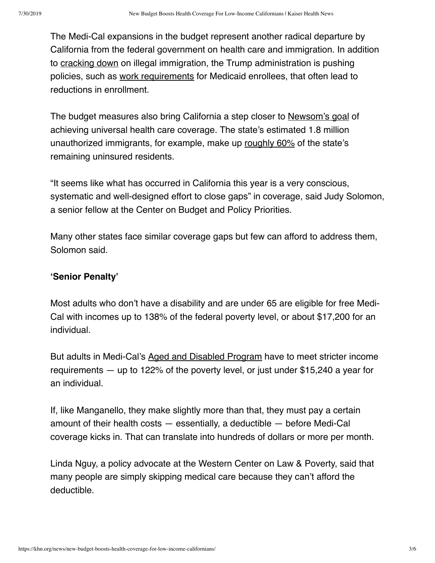The Medi-Cal expansions in the budget represent another radical departure by California from the federal government on health care and immigration. In addition to [cracking down](https://abcnews.go.com/Politics/trump-fund-illegal-immigration-crackdown/story?id=61627874) on illegal immigration, the Trump administration is pushing policies, such as [work requirements](https://www.washingtonpost.com/national/health-science/despite-us-courts-ruling-medicaid-work-requirements-advance-in-other-states/2018/07/09/67e0051e-7e45-11e8-a63f-7b5d2aba7ac5_story.html?utm_term=.19f46ab53333) for Medicaid enrollees, that often lead to reductions in enrollment.

The budget measures also bring California a step closer to [Newsom's goal](https://khn.org/news/california-dreamin-with-newsoms-win-single-payer-unlikely-to-follow-anytime-soon/) of achieving universal health care coverage. The state's estimated 1.8 million unauthorized immigrants, for example, make up [roughly 60%](http://www.itup.org/wp-content/uploads/2018/10/ITUP_CAStrategies_Oct2018.pdf) of the state's remaining uninsured residents.

"It seems like what has occurred in California this year is a very conscious, systematic and well-designed effort to close gaps" in coverage, said Judy Solomon, a senior fellow at the Center on Budget and Policy Priorities.

Many other states face similar coverage gaps but few can afford to address them, Solomon said.

## **'Senior Penalty'**

Most adults who don't have a disability and are under 65 are eligible for free Medi-Cal with incomes up to 138% of the federal poverty level, or about \$17,200 for an individual.

But adults in Medi-Cal's [Aged and Disabled Program](https://www.disabilityrightsca.org/publications/worksheets-for-determining-eligibility-under-the-aged-disabled-federal-poverty-level) have to meet stricter income requirements — up to 122% of the poverty level, or just under \$15,240 a year for an individual.

If, like Manganello, they make slightly more than that, they must pay a certain amount of their health costs — essentially, a deductible — before Medi-Cal coverage kicks in. That can translate into hundreds of dollars or more per month.

Linda Nguy, a policy advocate at the Western Center on Law & Poverty, said that many people are simply skipping medical care because they can't afford the deductible.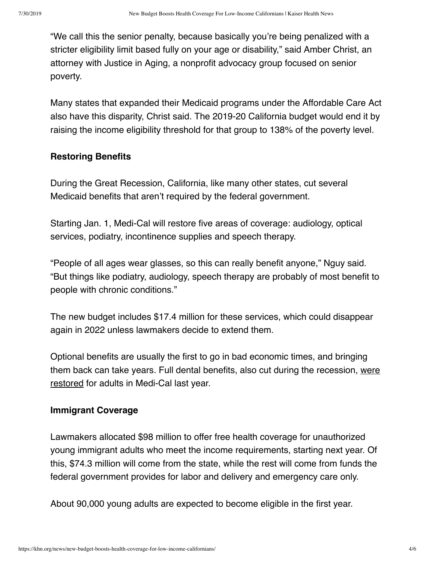"We call this the senior penalty, because basically you're being penalized with a stricter eligibility limit based fully on your age or disability," said Amber Christ, an attorney with Justice in Aging, a nonprofit advocacy group focused on senior poverty.

Many states that expanded their Medicaid programs under the Affordable Care Act also have this disparity, Christ said. The 2019-20 California budget would end it by raising the income eligibility threshold for that group to 138% of the poverty level.

## **Restoring Benefits**

During the Great Recession, California, like many other states, cut several Medicaid benefits that aren't required by the federal government.

Starting Jan. 1, Medi-Cal will restore five areas of coverage: audiology, optical services, podiatry, incontinence supplies and speech therapy.

"People of all ages wear glasses, so this can really benefit anyone," Nguy said. "But things like podiatry, audiology, speech therapy are probably of most benefit to people with chronic conditions."

The new budget includes \$17.4 million for these services, which could disappear again in 2022 unless lawmakers decide to extend them.

Optional benefits are usually the first to go in bad economic times, and bringing [them back can take years. Full dental benefits, also cut during the recession, were](https://khn.org/news/giving-medicaid-enrollees-something-to-smile-about/) restored for adults in Medi-Cal last year.

## **Immigrant Coverage**

Lawmakers allocated \$98 million to offer free health coverage for unauthorized young immigrant adults who meet the income requirements, starting next year. Of this, \$74.3 million will come from the state, while the rest will come from funds the federal government provides for labor and delivery and emergency care only.

About 90,000 young adults are expected to become eligible in the first year.